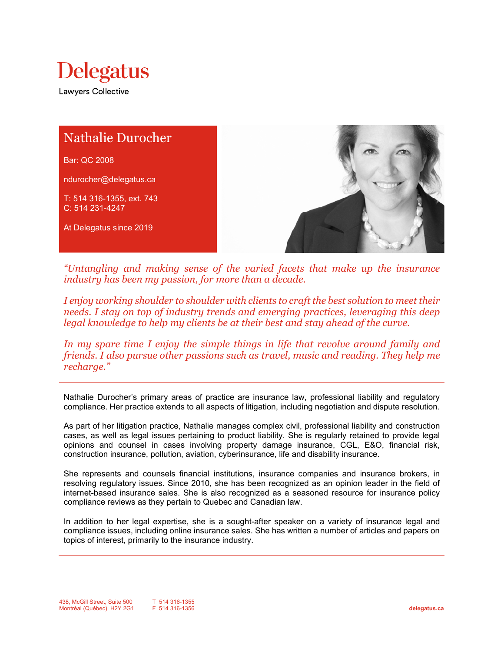



*"Untangling and making sense of the varied facets that make up the insurance industry has been my passion, for more than a decade.*

*I enjoy working shoulder to shoulder with clients to craft the best solution to meet their needs. I stay on top of industry trends and emerging practices, leveraging this deep legal knowledge to help my clients be at their best and stay ahead of the curve.*

*In my spare time I enjoy the simple things in life that revolve around family and friends. I also pursue other passions such as travel, music and reading. They help me recharge."*

Nathalie Durocher's primary areas of practice are insurance law, professional liability and regulatory compliance. Her practice extends to all aspects of litigation, including negotiation and dispute resolution.

As part of her litigation practice, Nathalie manages complex civil, professional liability and construction cases, as well as legal issues pertaining to product liability. She is regularly retained to provide legal opinions and counsel in cases involving property damage insurance, CGL, E&O, financial risk, construction insurance, pollution, aviation, cyberinsurance, life and disability insurance.

She represents and counsels financial institutions, insurance companies and insurance brokers, in resolving regulatory issues. Since 2010, she has been recognized as an opinion leader in the field of internet-based insurance sales. She is also recognized as a seasoned resource for insurance policy compliance reviews as they pertain to Quebec and Canadian law.

In addition to her legal expertise, she is a sought-after speaker on a variety of insurance legal and compliance issues, including online insurance sales. She has written a number of articles and papers on topics of interest, primarily to the insurance industry.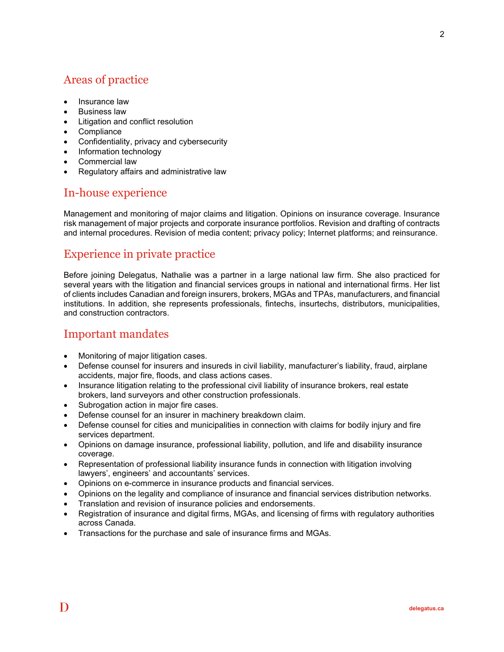## Areas of practice

- Insurance law
- Business law
- Litigation and conflict resolution
- Compliance
- Confidentiality, privacy and cybersecurity
- Information technology
- Commercial law
- Regulatory affairs and administrative law

#### In-house experience

Management and monitoring of major claims and litigation. Opinions on insurance coverage. Insurance risk management of major projects and corporate insurance portfolios. Revision and drafting of contracts and internal procedures. Revision of media content; privacy policy; Internet platforms; and reinsurance.

## Experience in private practice

Before joining Delegatus, Nathalie was a partner in a large national law firm. She also practiced for several years with the litigation and financial services groups in national and international firms. Her list of clients includes Canadian and foreign insurers, brokers, MGAs and TPAs, manufacturers, and financial institutions. In addition, she represents professionals, fintechs, insurtechs, distributors, municipalities, and construction contractors.

### Important mandates

- Monitoring of major litigation cases.
- Defense counsel for insurers and insureds in civil liability, manufacturer's liability, fraud, airplane accidents, major fire, floods, and class actions cases.
- Insurance litigation relating to the professional civil liability of insurance brokers, real estate brokers, land surveyors and other construction professionals.
- Subrogation action in major fire cases.
- Defense counsel for an insurer in machinery breakdown claim.
- Defense counsel for cities and municipalities in connection with claims for bodily injury and fire services department.
- Opinions on damage insurance, professional liability, pollution, and life and disability insurance coverage.
- Representation of professional liability insurance funds in connection with litigation involving lawyers', engineers' and accountants' services.
- Opinions on e-commerce in insurance products and financial services.
- Opinions on the legality and compliance of insurance and financial services distribution networks.
- Translation and revision of insurance policies and endorsements.
- Registration of insurance and digital firms, MGAs, and licensing of firms with regulatory authorities across Canada.
- Transactions for the purchase and sale of insurance firms and MGAs.